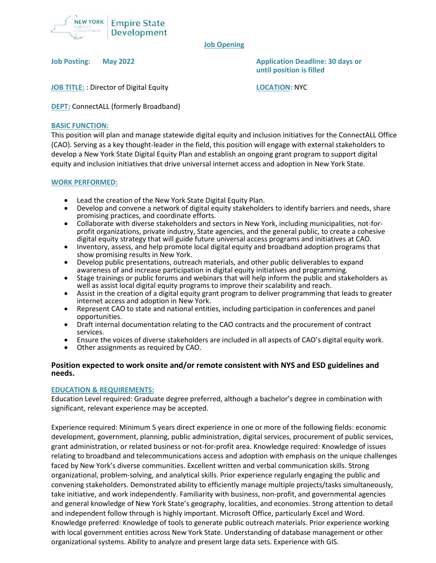

#### **Job Opening**

**Job Posting: May 2022 Application Deadline: 30 days or until position is filled**

**JOB TITLE:** : Director of Digital Equity **LOCATION:** NYC

**DEPT:** ConnectALL (formerly Broadband)

### **BASIC FUNCTION:**

This position will plan and manage statewide digital equity and inclusion initiatives for the ConnectALL Office (CAO). Serving as a key thought-leader in the field, this position will engage with external stakeholders to develop a New York State Digital Equity Plan and establish an ongoing grant program to support digital equity and inclusion initiatives that drive universal internet access and adoption in New York State.

### **WORK PERFORMED:**

- Lead the creation of the New York State Digital Equity Plan.
- Develop and convene a network of digital equity stakeholders to identify barriers and needs, share promising practices, and coordinate efforts.
- Collaborate with diverse stakeholders and sectors in New York, including municipalities, not-forprofit organizations, private industry, State agencies, and the general public, to create a cohesive digital equity strategy that will guide future universal access programs and initiatives at CAO.
- Inventory, assess, and help promote local digital equity and broadband adoption programs that show promising results in New York.
- Develop public presentations, outreach materials, and other public deliverables to expand awareness of and increase participation in digital equity initiatives and programming.
- Stage trainings or public forums and webinars that will help inform the public and stakeholders as well as assist local digital equity programs to improve their scalability and reach.
- Assist in the creation of a digital equity grant program to deliver programming that leads to greater internet access and adoption in New York.
- Represent CAO to state and national entities, including participation in conferences and panel opportunities.
- Draft internal documentation relating to the CAO contracts and the procurement of contract services.
- Ensure the voices of diverse stakeholders are included in all aspects of CAO's digital equity work.
- Other assignments as required by CAO.

## **Position expected to work onsite and/or remote consistent with NYS and ESD guidelines and needs.**

#### **EDUCATION & REQUIREMENTS:**

Education Level required: Graduate degree preferred, although a bachelor's degree in combination with significant, relevant experience may be accepted.

Experience required: Minimum 5 years direct experience in one or more of the following fields: economic development, government, planning, public administration, digital services, procurement of public services, grant administration, or related business or not-for-profit area. Knowledge required: Knowledge of issues relating to broadband and telecommunications access and adoption with emphasis on the unique challenges faced by New York's diverse communities. Excellent written and verbal communication skills. Strong organizational, problem-solving, and analytical skills. Prior experience regularly engaging the public and convening stakeholders. Demonstrated ability to efficiently manage multiple projects/tasks simultaneously, take initiative, and work independently. Familiarity with business, non-profit, and governmental agencies and general knowledge of New York State's geography, localities, and economies. Strong attention to detail and independent follow through is highly important. Microsoft Office, particularly Excel and Word. Knowledge preferred: Knowledge of tools to generate public outreach materials. Prior experience working with local government entities across New York State. Understanding of database management or other organizational systems. Ability to analyze and present large data sets. Experience with GIS.